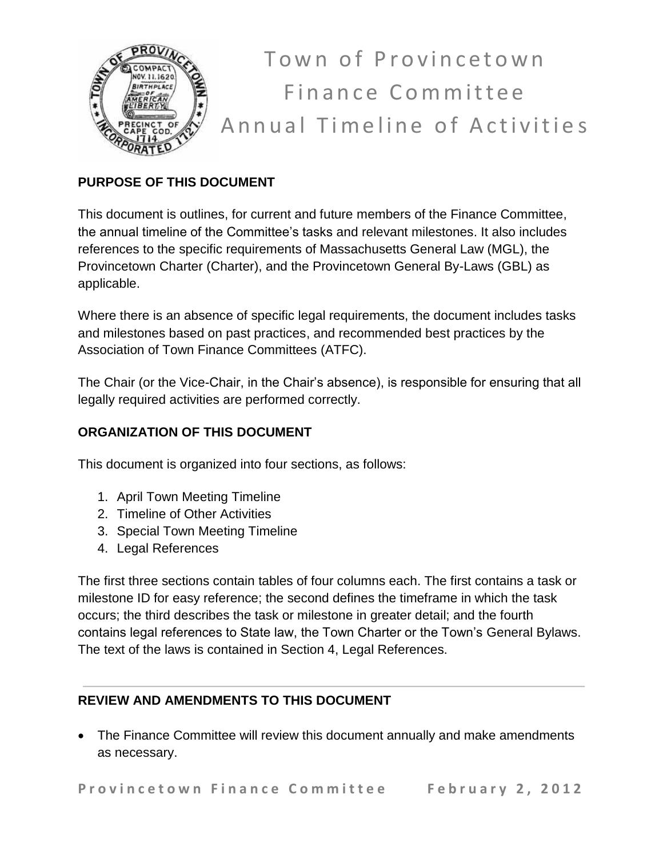

Town of Provincetown Finance Committee Annual Timeline of Activities

# **PURPOSE OF THIS DOCUMENT**

This document is outlines, for current and future members of the Finance Committee, the annual timeline of the Committee's tasks and relevant milestones. It also includes references to the specific requirements of Massachusetts General Law (MGL), the Provincetown Charter (Charter), and the Provincetown General By-Laws (GBL) as applicable.

Where there is an absence of specific legal requirements, the document includes tasks and milestones based on past practices, and recommended best practices by the Association of Town Finance Committees (ATFC).

The Chair (or the Vice-Chair, in the Chair's absence), is responsible for ensuring that all legally required activities are performed correctly.

# **ORGANIZATION OF THIS DOCUMENT**

This document is organized into four sections, as follows:

- 1. April Town Meeting Timeline
- 2. Timeline of Other Activities
- 3. Special Town Meeting Timeline
- 4. Legal References

The first three sections contain tables of four columns each. The first contains a task or milestone ID for easy reference; the second defines the timeframe in which the task occurs; the third describes the task or milestone in greater detail; and the fourth contains legal references to State law, the Town Charter or the Town's General Bylaws. The text of the laws is contained in Section 4, Legal References.

## **REVIEW AND AMENDMENTS TO THIS DOCUMENT**

 The Finance Committee will review this document annually and make amendments as necessary.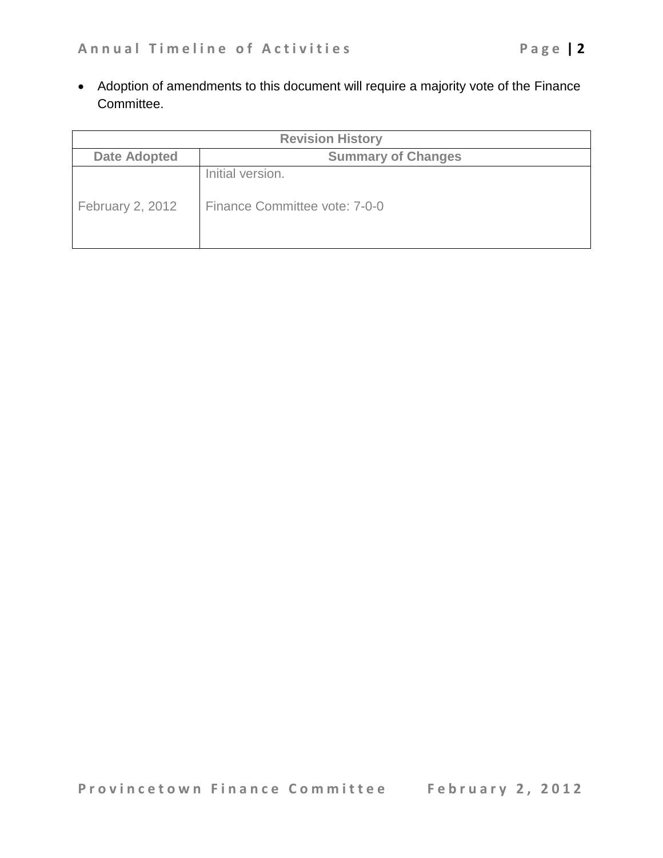Adoption of amendments to this document will require a majority vote of the Finance Committee.

| <b>Revision History</b> |                                                   |  |
|-------------------------|---------------------------------------------------|--|
| <b>Date Adopted</b>     | <b>Summary of Changes</b>                         |  |
| February 2, 2012        | Initial version.<br>Finance Committee vote: 7-0-0 |  |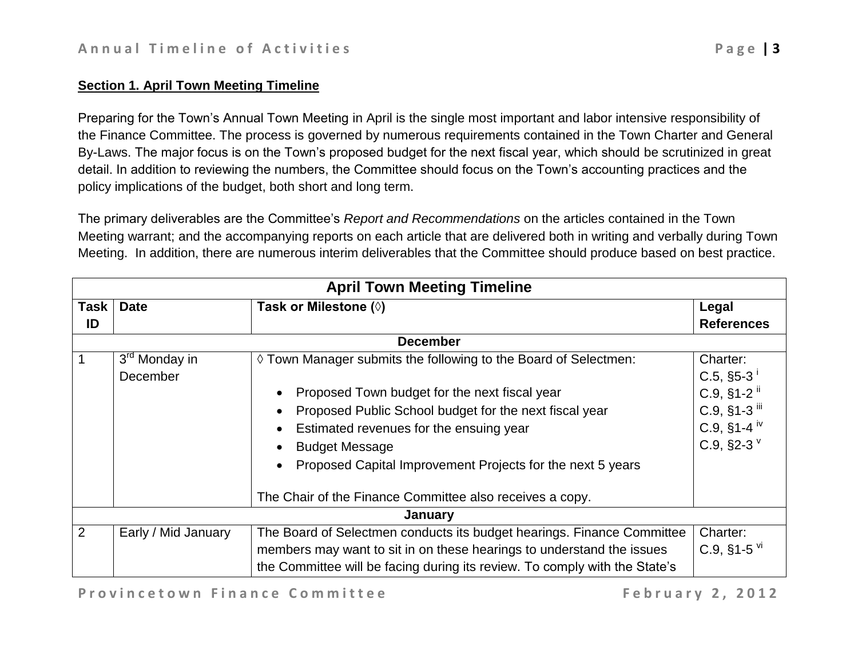#### **Section 1. April Town Meeting Timeline**

Preparing for the Town's Annual Town Meeting in April is the single most important and labor intensive responsibility of the Finance Committee. The process is governed by numerous requirements contained in the Town Charter and General By-Laws. The major focus is on the Town's proposed budget for the next fiscal year, which should be scrutinized in great detail. In addition to reviewing the numbers, the Committee should focus on the Town's accounting practices and the policy implications of the budget, both short and long term.

The primary deliverables are the Committee's *Report and Recommendations* on the articles contained in the Town Meeting warrant; and the accompanying reports on each article that are delivered both in writing and verbally during Town Meeting. In addition, there are numerous interim deliverables that the Committee should produce based on best practice.

|             | <b>April Town Meeting Timeline</b> |                                                                            |                             |  |
|-------------|------------------------------------|----------------------------------------------------------------------------|-----------------------------|--|
| <b>Task</b> | <b>Date</b>                        | Task or Milestone (◊)                                                      | Legal                       |  |
| ID          |                                    |                                                                            | <b>References</b>           |  |
|             |                                    | <b>December</b>                                                            |                             |  |
|             | 3 <sup>rd</sup> Monday in          | ♦ Town Manager submits the following to the Board of Selectmen:            | Charter:                    |  |
|             | December                           |                                                                            | $C.5,$ §5-3                 |  |
|             |                                    | Proposed Town budget for the next fiscal year                              | $C.9,$ §1-2 <sup>ii</sup>   |  |
|             |                                    | Proposed Public School budget for the next fiscal year                     | $C.9,$ §1-3 $^{\text{iii}}$ |  |
|             |                                    | Estimated revenues for the ensuing year                                    | $C.9, S1-4$ <sup>iv</sup>   |  |
|             |                                    | <b>Budget Message</b>                                                      | C.9, §2-3 $V$               |  |
|             |                                    | Proposed Capital Improvement Projects for the next 5 years                 |                             |  |
|             |                                    |                                                                            |                             |  |
|             |                                    | The Chair of the Finance Committee also receives a copy.                   |                             |  |
|             | January                            |                                                                            |                             |  |
| 2           | Early / Mid January                | The Board of Selectmen conducts its budget hearings. Finance Committee     | Charter:                    |  |
|             |                                    | members may want to sit in on these hearings to understand the issues      | $C.9,$ §1-5 $\rm{V}$        |  |
|             |                                    | the Committee will be facing during its review. To comply with the State's |                             |  |

<span id="page-2-1"></span><span id="page-2-0"></span>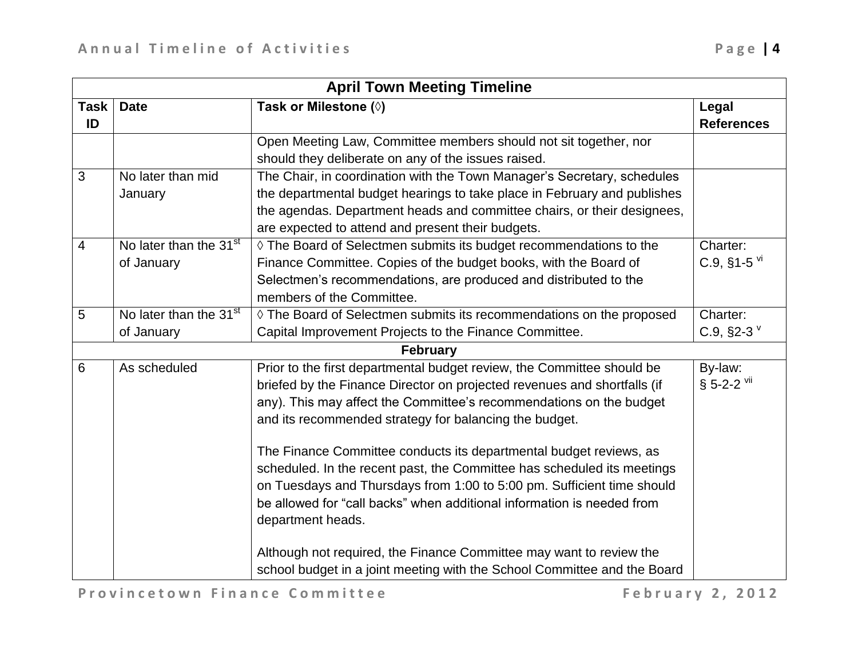|                | <b>April Town Meeting Timeline</b> |                                                                          |                            |  |
|----------------|------------------------------------|--------------------------------------------------------------------------|----------------------------|--|
| <b>Task</b>    | <b>Date</b>                        | Task or Milestone (0)                                                    | Legal                      |  |
| ID             |                                    |                                                                          | <b>References</b>          |  |
|                |                                    | Open Meeting Law, Committee members should not sit together, nor         |                            |  |
|                |                                    | should they deliberate on any of the issues raised.                      |                            |  |
| 3              | No later than mid                  | The Chair, in coordination with the Town Manager's Secretary, schedules  |                            |  |
|                | January                            | the departmental budget hearings to take place in February and publishes |                            |  |
|                |                                    | the agendas. Department heads and committee chairs, or their designees,  |                            |  |
|                |                                    | are expected to attend and present their budgets.                        |                            |  |
| $\overline{4}$ | No later than the 31 <sup>st</sup> | ♦ The Board of Selectmen submits its budget recommendations to the       | Charter:                   |  |
|                | of January                         | Finance Committee. Copies of the budget books, with the Board of         | $C.9,$ §1-5 $\overline{M}$ |  |
|                |                                    | Selectmen's recommendations, are produced and distributed to the         |                            |  |
|                |                                    | members of the Committee.                                                |                            |  |
| 5              | No later than the 31 <sup>st</sup> | ◊ The Board of Selectmen submits its recommendations on the proposed     | Charter:                   |  |
|                | of January                         | Capital Improvement Projects to the Finance Committee.                   | C.9, $§2-3$                |  |
|                |                                    | <b>February</b>                                                          |                            |  |
| 6              | As scheduled                       | Prior to the first departmental budget review, the Committee should be   | By-law:                    |  |
|                |                                    | briefed by the Finance Director on projected revenues and shortfalls (if | § 5-2-2 vii                |  |
|                |                                    | any). This may affect the Committee's recommendations on the budget      |                            |  |
|                |                                    | and its recommended strategy for balancing the budget.                   |                            |  |
|                |                                    | The Finance Committee conducts its departmental budget reviews, as       |                            |  |
|                |                                    | scheduled. In the recent past, the Committee has scheduled its meetings  |                            |  |
|                |                                    | on Tuesdays and Thursdays from 1:00 to 5:00 pm. Sufficient time should   |                            |  |
|                |                                    | be allowed for "call backs" when additional information is needed from   |                            |  |
|                |                                    | department heads.                                                        |                            |  |
|                |                                    |                                                                          |                            |  |
|                |                                    | Although not required, the Finance Committee may want to review the      |                            |  |
|                |                                    | school budget in a joint meeting with the School Committee and the Board |                            |  |

<span id="page-3-0"></span>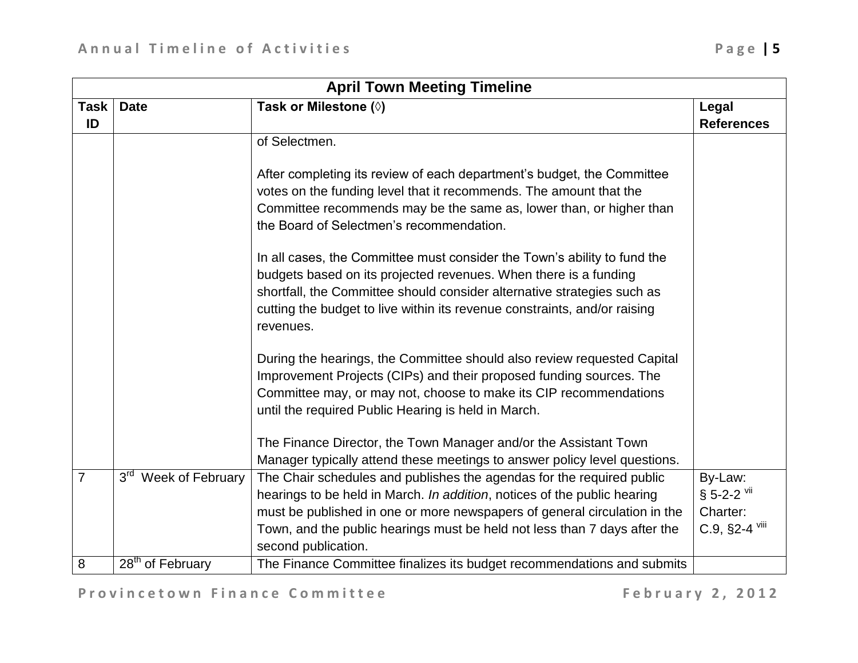|                | <b>April Town Meeting Timeline</b>  |                                                                                                                                                                                                                                                                                                                                                                                                                             |                                                       |  |
|----------------|-------------------------------------|-----------------------------------------------------------------------------------------------------------------------------------------------------------------------------------------------------------------------------------------------------------------------------------------------------------------------------------------------------------------------------------------------------------------------------|-------------------------------------------------------|--|
| <b>Task</b>    | <b>Date</b>                         | Task or Milestone (0)                                                                                                                                                                                                                                                                                                                                                                                                       | Legal                                                 |  |
| ID             |                                     |                                                                                                                                                                                                                                                                                                                                                                                                                             | <b>References</b>                                     |  |
|                |                                     | of Selectmen.                                                                                                                                                                                                                                                                                                                                                                                                               |                                                       |  |
|                |                                     | After completing its review of each department's budget, the Committee<br>votes on the funding level that it recommends. The amount that the<br>Committee recommends may be the same as, lower than, or higher than<br>the Board of Selectmen's recommendation.                                                                                                                                                             |                                                       |  |
|                |                                     | In all cases, the Committee must consider the Town's ability to fund the<br>budgets based on its projected revenues. When there is a funding<br>shortfall, the Committee should consider alternative strategies such as<br>cutting the budget to live within its revenue constraints, and/or raising<br>revenues.                                                                                                           |                                                       |  |
|                |                                     | During the hearings, the Committee should also review requested Capital<br>Improvement Projects (CIPs) and their proposed funding sources. The<br>Committee may, or may not, choose to make its CIP recommendations<br>until the required Public Hearing is held in March.<br>The Finance Director, the Town Manager and/or the Assistant Town<br>Manager typically attend these meetings to answer policy level questions. |                                                       |  |
| $\overline{7}$ | 3 <sup>rd</sup><br>Week of February | The Chair schedules and publishes the agendas for the required public<br>hearings to be held in March. In addition, notices of the public hearing<br>must be published in one or more newspapers of general circulation in the<br>Town, and the public hearings must be held not less than 7 days after the<br>second publication.                                                                                          | By-Law:<br>§ 5-2-2 Vii<br>Charter:<br>$C.9,$ §2-4 $V$ |  |
| 8              | 28 <sup>th</sup> of February        | The Finance Committee finalizes its budget recommendations and submits                                                                                                                                                                                                                                                                                                                                                      |                                                       |  |

<span id="page-4-0"></span>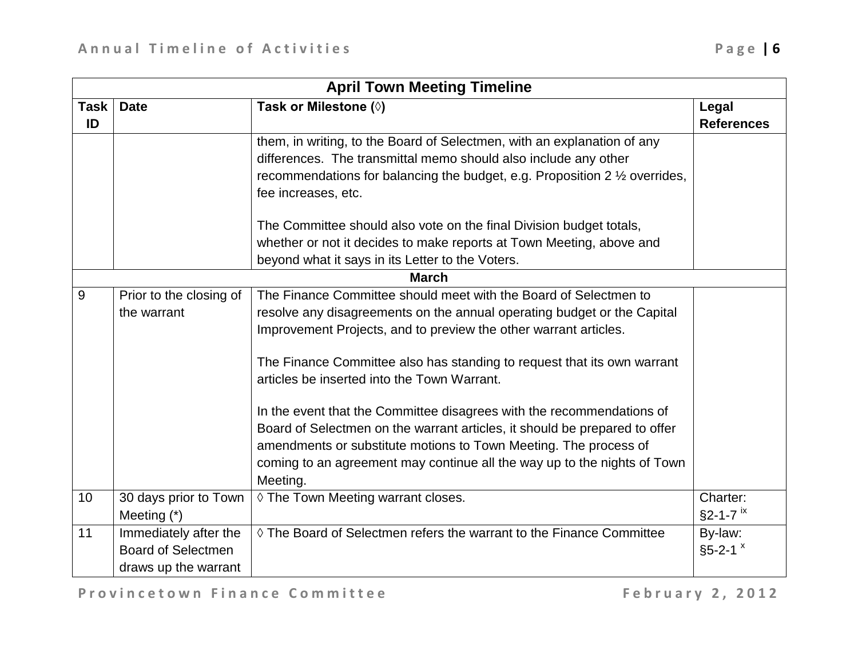|      | <b>April Town Meeting Timeline</b> |                                                                                       |                            |  |
|------|------------------------------------|---------------------------------------------------------------------------------------|----------------------------|--|
| Task | <b>Date</b>                        | Task or Milestone (0)                                                                 | Legal                      |  |
| ID   |                                    |                                                                                       | <b>References</b>          |  |
|      |                                    | them, in writing, to the Board of Selectmen, with an explanation of any               |                            |  |
|      |                                    | differences. The transmittal memo should also include any other                       |                            |  |
|      |                                    | recommendations for balancing the budget, e.g. Proposition 2 $\frac{1}{2}$ overrides, |                            |  |
|      |                                    | fee increases, etc.                                                                   |                            |  |
|      |                                    | The Committee should also vote on the final Division budget totals,                   |                            |  |
|      |                                    | whether or not it decides to make reports at Town Meeting, above and                  |                            |  |
|      |                                    | beyond what it says in its Letter to the Voters.                                      |                            |  |
|      |                                    | <b>March</b>                                                                          |                            |  |
| 9    | Prior to the closing of            | The Finance Committee should meet with the Board of Selectmen to                      |                            |  |
|      | the warrant                        | resolve any disagreements on the annual operating budget or the Capital               |                            |  |
|      |                                    | Improvement Projects, and to preview the other warrant articles.                      |                            |  |
|      |                                    | The Finance Committee also has standing to request that its own warrant               |                            |  |
|      |                                    | articles be inserted into the Town Warrant.                                           |                            |  |
|      |                                    | In the event that the Committee disagrees with the recommendations of                 |                            |  |
|      |                                    | Board of Selectmen on the warrant articles, it should be prepared to offer            |                            |  |
|      |                                    | amendments or substitute motions to Town Meeting. The process of                      |                            |  |
|      |                                    | coming to an agreement may continue all the way up to the nights of Town              |                            |  |
|      |                                    | Meeting.                                                                              |                            |  |
| 10   | 30 days prior to Town              | ♦ The Town Meeting warrant closes.                                                    | Charter:                   |  |
|      | Meeting $(*)$                      |                                                                                       | $§2 - 1 - 7$ <sup>ix</sup> |  |
| 11   | Immediately after the              | $\Diamond$ The Board of Selectmen refers the warrant to the Finance Committee         | By-law:                    |  |
|      | <b>Board of Selectmen</b>          |                                                                                       | $§5 - 2 - 1$ $x$           |  |
|      | draws up the warrant               |                                                                                       |                            |  |

<span id="page-5-1"></span><span id="page-5-0"></span>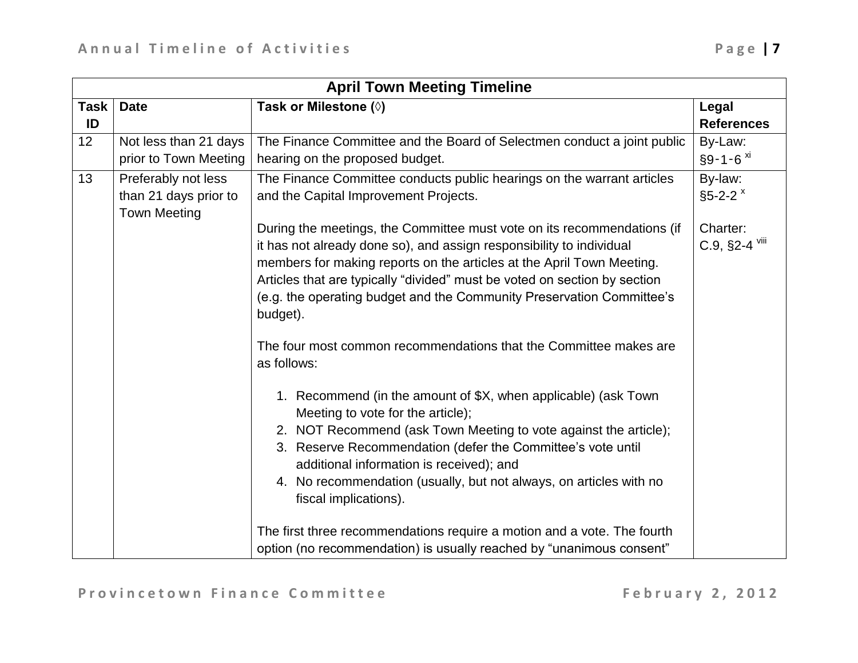|                   | <b>April Town Meeting Timeline</b>                                  |                                                                                                                                                                                                                                                                                                                                                                                                                                                                                                                                                                                                                                                                                                                                                                                                                                                                                                                                                                                                                        |                                       |  |
|-------------------|---------------------------------------------------------------------|------------------------------------------------------------------------------------------------------------------------------------------------------------------------------------------------------------------------------------------------------------------------------------------------------------------------------------------------------------------------------------------------------------------------------------------------------------------------------------------------------------------------------------------------------------------------------------------------------------------------------------------------------------------------------------------------------------------------------------------------------------------------------------------------------------------------------------------------------------------------------------------------------------------------------------------------------------------------------------------------------------------------|---------------------------------------|--|
| <b>Task</b><br>ID | <b>Date</b>                                                         | Task or Milestone (0)                                                                                                                                                                                                                                                                                                                                                                                                                                                                                                                                                                                                                                                                                                                                                                                                                                                                                                                                                                                                  | Legal<br><b>References</b>            |  |
| 12                | Not less than 21 days<br>prior to Town Meeting                      | The Finance Committee and the Board of Selectmen conduct a joint public<br>hearing on the proposed budget.                                                                                                                                                                                                                                                                                                                                                                                                                                                                                                                                                                                                                                                                                                                                                                                                                                                                                                             | By-Law:<br>$§9 - 1 - 6$ <sup>xi</sup> |  |
| 13                | Preferably not less<br>than 21 days prior to<br><b>Town Meeting</b> | The Finance Committee conducts public hearings on the warrant articles<br>and the Capital Improvement Projects.                                                                                                                                                                                                                                                                                                                                                                                                                                                                                                                                                                                                                                                                                                                                                                                                                                                                                                        | By-law:<br>$$5-2-2$ $x$               |  |
|                   |                                                                     | During the meetings, the Committee must vote on its recommendations (if<br>it has not already done so), and assign responsibility to individual<br>members for making reports on the articles at the April Town Meeting.<br>Articles that are typically "divided" must be voted on section by section<br>(e.g. the operating budget and the Community Preservation Committee's<br>budget).<br>The four most common recommendations that the Committee makes are<br>as follows:<br>1. Recommend (in the amount of \$X, when applicable) (ask Town<br>Meeting to vote for the article);<br>2. NOT Recommend (ask Town Meeting to vote against the article);<br>3. Reserve Recommendation (defer the Committee's vote until<br>additional information is received); and<br>4. No recommendation (usually, but not always, on articles with no<br>fiscal implications).<br>The first three recommendations require a motion and a vote. The fourth<br>option (no recommendation) is usually reached by "unanimous consent" | Charter:<br>C.9, §2-4 viii            |  |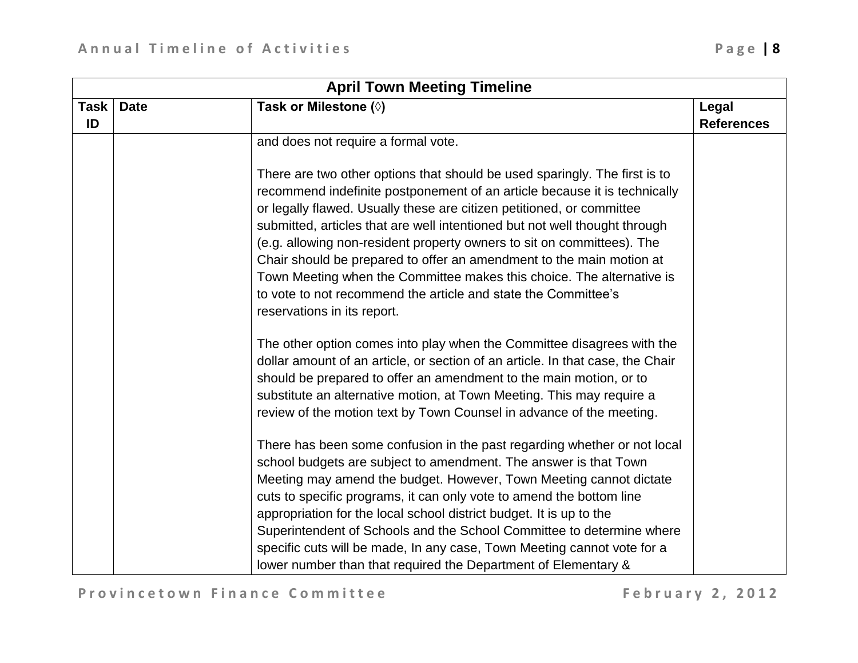|             | <b>April Town Meeting Timeline</b> |                                                                                                                                                                                                                                                                                                                                                                                                                                                                                                                                                                                                                                            |                   |  |
|-------------|------------------------------------|--------------------------------------------------------------------------------------------------------------------------------------------------------------------------------------------------------------------------------------------------------------------------------------------------------------------------------------------------------------------------------------------------------------------------------------------------------------------------------------------------------------------------------------------------------------------------------------------------------------------------------------------|-------------------|--|
| <b>Task</b> | <b>Date</b>                        | Task or Milestone (0)                                                                                                                                                                                                                                                                                                                                                                                                                                                                                                                                                                                                                      | Legal             |  |
| ID          |                                    |                                                                                                                                                                                                                                                                                                                                                                                                                                                                                                                                                                                                                                            | <b>References</b> |  |
|             |                                    | and does not require a formal vote.                                                                                                                                                                                                                                                                                                                                                                                                                                                                                                                                                                                                        |                   |  |
|             |                                    | There are two other options that should be used sparingly. The first is to<br>recommend indefinite postponement of an article because it is technically<br>or legally flawed. Usually these are citizen petitioned, or committee<br>submitted, articles that are well intentioned but not well thought through<br>(e.g. allowing non-resident property owners to sit on committees). The<br>Chair should be prepared to offer an amendment to the main motion at<br>Town Meeting when the Committee makes this choice. The alternative is<br>to vote to not recommend the article and state the Committee's<br>reservations in its report. |                   |  |
|             |                                    | The other option comes into play when the Committee disagrees with the<br>dollar amount of an article, or section of an article. In that case, the Chair<br>should be prepared to offer an amendment to the main motion, or to<br>substitute an alternative motion, at Town Meeting. This may require a<br>review of the motion text by Town Counsel in advance of the meeting.                                                                                                                                                                                                                                                            |                   |  |
|             |                                    | There has been some confusion in the past regarding whether or not local<br>school budgets are subject to amendment. The answer is that Town<br>Meeting may amend the budget. However, Town Meeting cannot dictate<br>cuts to specific programs, it can only vote to amend the bottom line<br>appropriation for the local school district budget. It is up to the<br>Superintendent of Schools and the School Committee to determine where<br>specific cuts will be made, In any case, Town Meeting cannot vote for a<br>lower number than that required the Department of Elementary &                                                    |                   |  |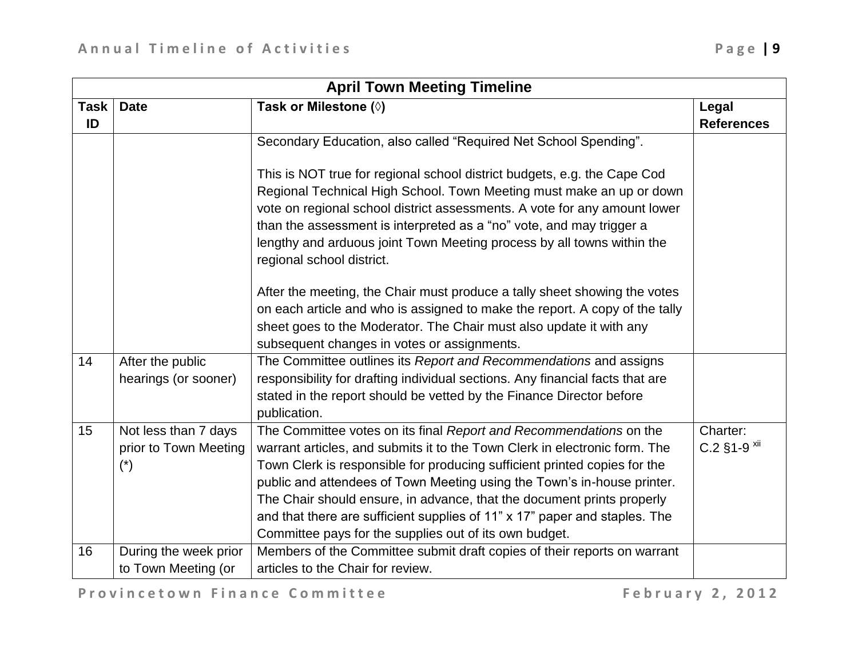| <b>April Town Meeting Timeline</b> |                                                                        |                                                                                                                                                                                                                                                                                                                                                                                                                                                                                                                            |                                       |
|------------------------------------|------------------------------------------------------------------------|----------------------------------------------------------------------------------------------------------------------------------------------------------------------------------------------------------------------------------------------------------------------------------------------------------------------------------------------------------------------------------------------------------------------------------------------------------------------------------------------------------------------------|---------------------------------------|
| Task                               | <b>Date</b>                                                            | Task or Milestone (0)                                                                                                                                                                                                                                                                                                                                                                                                                                                                                                      | Legal                                 |
| ID                                 |                                                                        |                                                                                                                                                                                                                                                                                                                                                                                                                                                                                                                            | <b>References</b>                     |
|                                    |                                                                        | Secondary Education, also called "Required Net School Spending".                                                                                                                                                                                                                                                                                                                                                                                                                                                           |                                       |
|                                    |                                                                        | This is NOT true for regional school district budgets, e.g. the Cape Cod<br>Regional Technical High School. Town Meeting must make an up or down<br>vote on regional school district assessments. A vote for any amount lower<br>than the assessment is interpreted as a "no" vote, and may trigger a<br>lengthy and arduous joint Town Meeting process by all towns within the<br>regional school district.                                                                                                               |                                       |
|                                    |                                                                        | After the meeting, the Chair must produce a tally sheet showing the votes<br>on each article and who is assigned to make the report. A copy of the tally<br>sheet goes to the Moderator. The Chair must also update it with any<br>subsequent changes in votes or assignments.                                                                                                                                                                                                                                             |                                       |
| 14                                 | After the public<br>hearings (or sooner)                               | The Committee outlines its Report and Recommendations and assigns<br>responsibility for drafting individual sections. Any financial facts that are<br>stated in the report should be vetted by the Finance Director before<br>publication.                                                                                                                                                                                                                                                                                 |                                       |
| 15                                 | Not less than 7 days<br>prior to Town Meeting<br>$(\dot{\phantom{a}})$ | The Committee votes on its final Report and Recommendations on the<br>warrant articles, and submits it to the Town Clerk in electronic form. The<br>Town Clerk is responsible for producing sufficient printed copies for the<br>public and attendees of Town Meeting using the Town's in-house printer.<br>The Chair should ensure, in advance, that the document prints properly<br>and that there are sufficient supplies of 11" x 17" paper and staples. The<br>Committee pays for the supplies out of its own budget. | Charter:<br>$C.2$ §1-9 <sup>xii</sup> |
| 16                                 | During the week prior<br>to Town Meeting (or                           | Members of the Committee submit draft copies of their reports on warrant<br>articles to the Chair for review.                                                                                                                                                                                                                                                                                                                                                                                                              |                                       |

<span id="page-8-0"></span>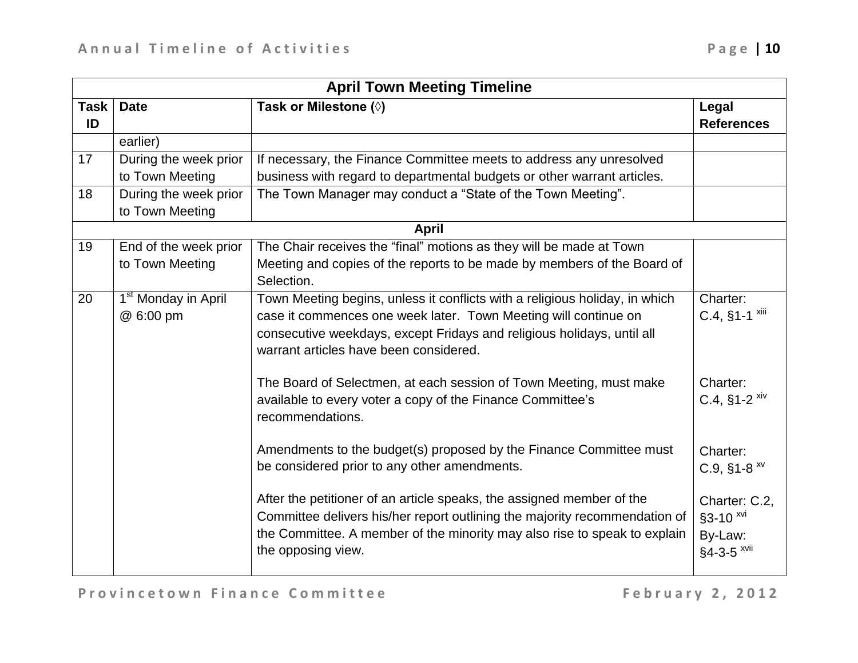|                   | <b>April Town Meeting Timeline</b>           |                                                                                                                                                                                                                                                                    |                                                                 |  |
|-------------------|----------------------------------------------|--------------------------------------------------------------------------------------------------------------------------------------------------------------------------------------------------------------------------------------------------------------------|-----------------------------------------------------------------|--|
| <b>Task</b><br>ID | <b>Date</b>                                  | Task or Milestone (0)                                                                                                                                                                                                                                              | Legal<br><b>References</b>                                      |  |
|                   | earlier)                                     |                                                                                                                                                                                                                                                                    |                                                                 |  |
| 17                | During the week prior<br>to Town Meeting     | If necessary, the Finance Committee meets to address any unresolved<br>business with regard to departmental budgets or other warrant articles.                                                                                                                     |                                                                 |  |
| 18                | During the week prior<br>to Town Meeting     | The Town Manager may conduct a "State of the Town Meeting".                                                                                                                                                                                                        |                                                                 |  |
|                   |                                              | <b>April</b>                                                                                                                                                                                                                                                       |                                                                 |  |
| 19                | End of the week prior<br>to Town Meeting     | The Chair receives the "final" motions as they will be made at Town<br>Meeting and copies of the reports to be made by members of the Board of<br>Selection.                                                                                                       |                                                                 |  |
| 20                | 1 <sup>st</sup> Monday in April<br>@ 6:00 pm | Town Meeting begins, unless it conflicts with a religious holiday, in which<br>case it commences one week later. Town Meeting will continue on<br>consecutive weekdays, except Fridays and religious holidays, until all<br>warrant articles have been considered. | Charter:<br>$C.4$ , §1-1 $xiii$                                 |  |
|                   |                                              | The Board of Selectmen, at each session of Town Meeting, must make<br>available to every voter a copy of the Finance Committee's<br>recommendations.                                                                                                               | Charter:<br>C.4, $§1 - 2$ <sup>xiv</sup>                        |  |
|                   |                                              | Amendments to the budget(s) proposed by the Finance Committee must<br>be considered prior to any other amendments.                                                                                                                                                 | Charter:<br>$C.9,$ §1-8 $^{xy}$                                 |  |
|                   |                                              | After the petitioner of an article speaks, the assigned member of the<br>Committee delivers his/her report outlining the majority recommendation of<br>the Committee. A member of the minority may also rise to speak to explain<br>the opposing view.             | Charter: C.2,<br>§3-10 xvi<br>By-Law:<br>§4-3-5 <sup>xvii</sup> |  |

<span id="page-9-2"></span><span id="page-9-1"></span><span id="page-9-0"></span>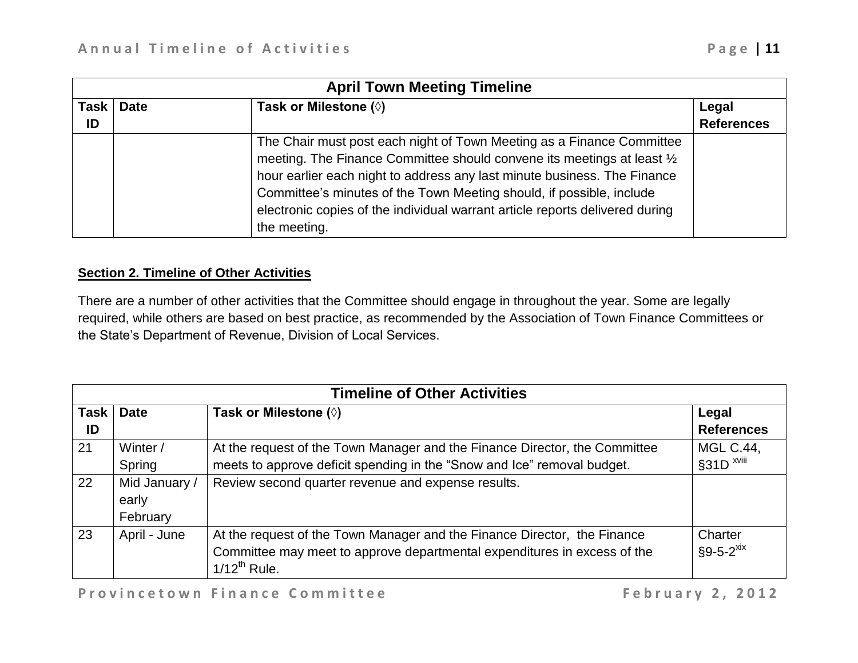|                   | <b>April Town Meeting Timeline</b> |                                                                                                                                                                                                                                                                                                                                                                                                      |                            |  |
|-------------------|------------------------------------|------------------------------------------------------------------------------------------------------------------------------------------------------------------------------------------------------------------------------------------------------------------------------------------------------------------------------------------------------------------------------------------------------|----------------------------|--|
| <b>Task</b><br>ID | <b>Date</b>                        | Task or Milestone $(\Diamond)$                                                                                                                                                                                                                                                                                                                                                                       | Legal<br><b>References</b> |  |
|                   |                                    | The Chair must post each night of Town Meeting as a Finance Committee<br>meeting. The Finance Committee should convene its meetings at least 1/2<br>hour earlier each night to address any last minute business. The Finance<br>Committee's minutes of the Town Meeting should, if possible, include<br>electronic copies of the individual warrant article reports delivered during<br>the meeting. |                            |  |

#### **Section 2. Timeline of Other Activities**

There are a number of other activities that the Committee should engage in throughout the year. Some are legally required, while others are based on best practice, as recommended by the Association of Town Finance Committees or the State's Department of Revenue, Division of Local Services.

|              | <b>Timeline of Other Activities</b> |                                                                                                                                                                           |                                             |  |
|--------------|-------------------------------------|---------------------------------------------------------------------------------------------------------------------------------------------------------------------------|---------------------------------------------|--|
| Task  <br>ID | <b>Date</b>                         | Task or Milestone (0)                                                                                                                                                     | Legal<br><b>References</b>                  |  |
| 21           | Winter /<br>Spring                  | At the request of the Town Manager and the Finance Director, the Committee<br>meets to approve deficit spending in the "Snow and Ice" removal budget.                     | <b>MGL C.44,</b><br>$§31D$ <sup>xviii</sup> |  |
| 22           | Mid January /<br>early<br>February  | Review second quarter revenue and expense results.                                                                                                                        |                                             |  |
| 23           | April - June                        | At the request of the Town Manager and the Finance Director, the Finance<br>Committee may meet to approve departmental expenditures in excess of the<br>$1/12^{th}$ Rule. | Charter<br>$§9 - 5 - 2^{xix}$               |  |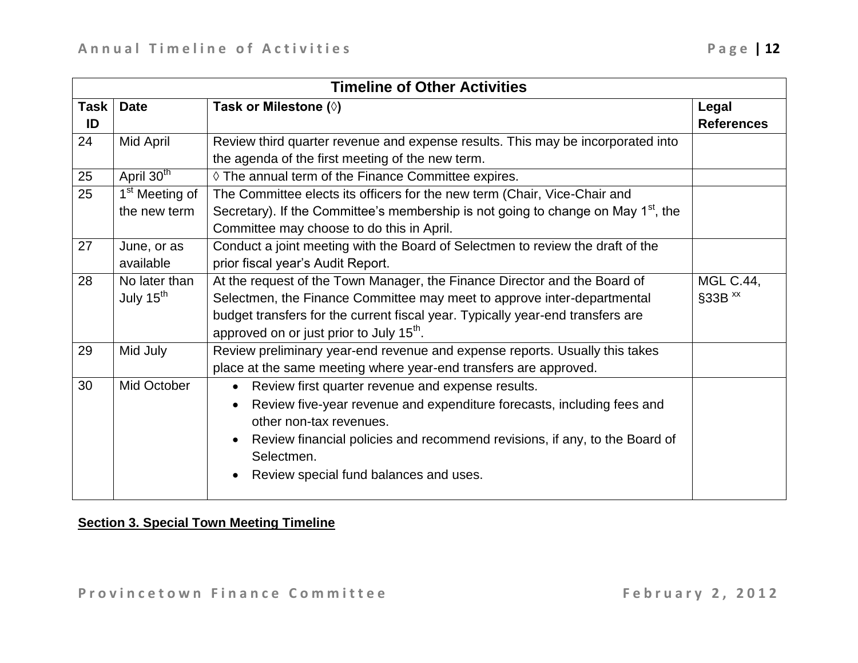| <b>Timeline of Other Activities</b> |                                        |                                                                                                                                                                                                                                                                                                                        |                                          |
|-------------------------------------|----------------------------------------|------------------------------------------------------------------------------------------------------------------------------------------------------------------------------------------------------------------------------------------------------------------------------------------------------------------------|------------------------------------------|
| <b>Task</b><br>ID                   | <b>Date</b>                            | Task or Milestone (0)                                                                                                                                                                                                                                                                                                  | Legal<br><b>References</b>               |
| 24                                  | Mid April                              | Review third quarter revenue and expense results. This may be incorporated into<br>the agenda of the first meeting of the new term.                                                                                                                                                                                    |                                          |
| 25                                  | April 30 <sup>th</sup>                 | ♦ The annual term of the Finance Committee expires.                                                                                                                                                                                                                                                                    |                                          |
| 25                                  | $1st$ Meeting of<br>the new term       | The Committee elects its officers for the new term (Chair, Vice-Chair and<br>Secretary). If the Committee's membership is not going to change on May 1 <sup>st</sup> , the<br>Committee may choose to do this in April.                                                                                                |                                          |
| 27                                  | June, or as<br>available               | Conduct a joint meeting with the Board of Selectmen to review the draft of the<br>prior fiscal year's Audit Report.                                                                                                                                                                                                    |                                          |
| 28                                  | No later than<br>July 15 <sup>th</sup> | At the request of the Town Manager, the Finance Director and the Board of<br>Selectmen, the Finance Committee may meet to approve inter-departmental<br>budget transfers for the current fiscal year. Typically year-end transfers are<br>approved on or just prior to July 15 <sup>th</sup> .                         | <b>MGL C.44,</b><br>$§33B$ <sup>xx</sup> |
| 29                                  | Mid July                               | Review preliminary year-end revenue and expense reports. Usually this takes<br>place at the same meeting where year-end transfers are approved.                                                                                                                                                                        |                                          |
| 30                                  | Mid October                            | Review first quarter revenue and expense results.<br>$\bullet$<br>Review five-year revenue and expenditure forecasts, including fees and<br>$\bullet$<br>other non-tax revenues.<br>Review financial policies and recommend revisions, if any, to the Board of<br>Selectmen.<br>Review special fund balances and uses. |                                          |

# **Section 3. Special Town Meeting Timeline**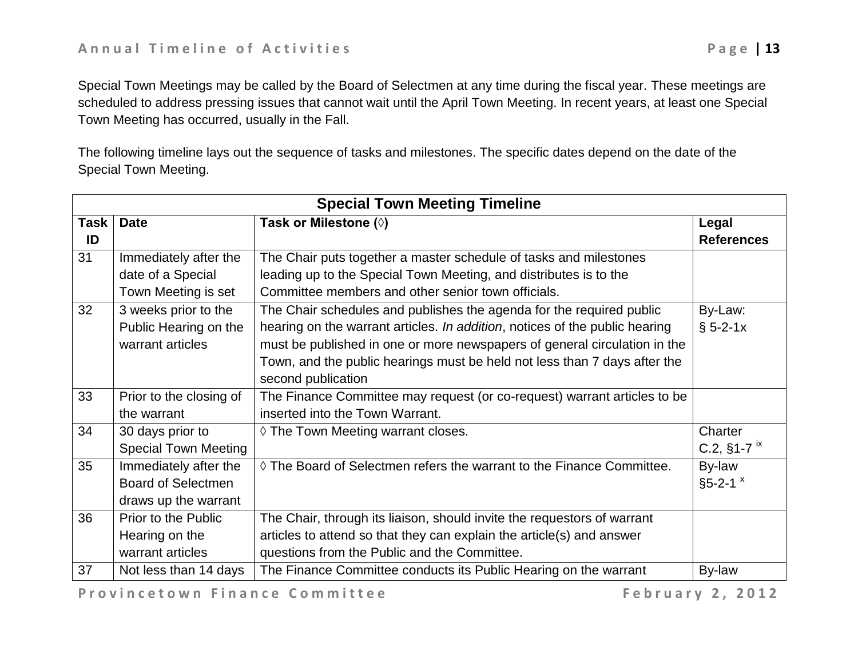Special Town Meetings may be called by the Board of Selectmen at any time during the fiscal year. These meetings are scheduled to address pressing issues that cannot wait until the April Town Meeting. In recent years, at least one Special Town Meeting has occurred, usually in the Fall.

The following timeline lays out the sequence of tasks and milestones. The specific dates depend on the date of the Special Town Meeting.

| <b>Special Town Meeting Timeline</b> |                             |                                                                                |                             |  |  |  |
|--------------------------------------|-----------------------------|--------------------------------------------------------------------------------|-----------------------------|--|--|--|
| <b>Task</b>                          | <b>Date</b>                 | Task or Milestone (0)                                                          | Legal                       |  |  |  |
| ID                                   |                             |                                                                                | <b>References</b>           |  |  |  |
| 31                                   | Immediately after the       | The Chair puts together a master schedule of tasks and milestones              |                             |  |  |  |
|                                      | date of a Special           | leading up to the Special Town Meeting, and distributes is to the              |                             |  |  |  |
|                                      | Town Meeting is set         | Committee members and other senior town officials.                             |                             |  |  |  |
| 32                                   | 3 weeks prior to the        | The Chair schedules and publishes the agenda for the required public           | By-Law:                     |  |  |  |
|                                      | Public Hearing on the       | hearing on the warrant articles. In addition, notices of the public hearing    | $§ 5 - 2 - 1x$              |  |  |  |
|                                      | warrant articles            | must be published in one or more newspapers of general circulation in the      |                             |  |  |  |
|                                      |                             | Town, and the public hearings must be held not less than 7 days after the      |                             |  |  |  |
|                                      |                             | second publication                                                             |                             |  |  |  |
| 33                                   | Prior to the closing of     | The Finance Committee may request (or co-request) warrant articles to be       |                             |  |  |  |
|                                      | the warrant                 | inserted into the Town Warrant.                                                |                             |  |  |  |
| 34                                   | 30 days prior to            | ♦ The Town Meeting warrant closes.                                             | Charter                     |  |  |  |
|                                      | <b>Special Town Meeting</b> |                                                                                | C.2, $§1 - 7$ <sup>ix</sup> |  |  |  |
| 35                                   | Immediately after the       | $\Diamond$ The Board of Selectmen refers the warrant to the Finance Committee. | By-law                      |  |  |  |
|                                      | <b>Board of Selectmen</b>   |                                                                                | $§5 - 2 - 1$ $x$            |  |  |  |
|                                      | draws up the warrant        |                                                                                |                             |  |  |  |
| 36                                   | Prior to the Public         | The Chair, through its liaison, should invite the requestors of warrant        |                             |  |  |  |
|                                      | Hearing on the              | articles to attend so that they can explain the article(s) and answer          |                             |  |  |  |
|                                      | warrant articles            | questions from the Public and the Committee.                                   |                             |  |  |  |
| 37                                   | Not less than 14 days       | The Finance Committee conducts its Public Hearing on the warrant               | By-law                      |  |  |  |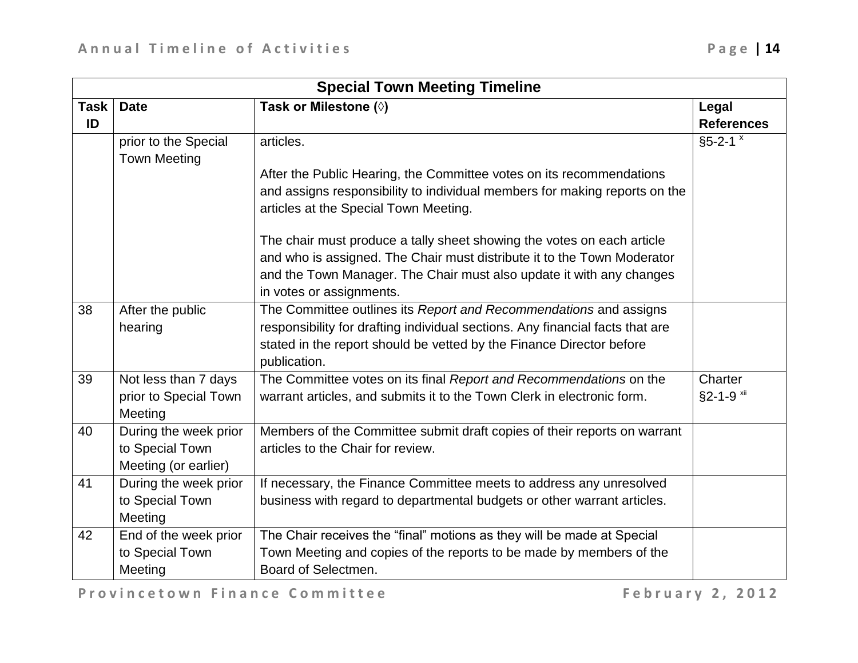| <b>Special Town Meeting Timeline</b> |                       |                                                                               |                   |  |  |
|--------------------------------------|-----------------------|-------------------------------------------------------------------------------|-------------------|--|--|
| <b>Task</b>                          | <b>Date</b>           | Task or Milestone (0)                                                         | Legal             |  |  |
| ID                                   |                       |                                                                               | <b>References</b> |  |  |
|                                      | prior to the Special  | articles.                                                                     | $§5 - 2 - 1$ $x$  |  |  |
|                                      | <b>Town Meeting</b>   |                                                                               |                   |  |  |
|                                      |                       | After the Public Hearing, the Committee votes on its recommendations          |                   |  |  |
|                                      |                       | and assigns responsibility to individual members for making reports on the    |                   |  |  |
|                                      |                       | articles at the Special Town Meeting.                                         |                   |  |  |
|                                      |                       | The chair must produce a tally sheet showing the votes on each article        |                   |  |  |
|                                      |                       | and who is assigned. The Chair must distribute it to the Town Moderator       |                   |  |  |
|                                      |                       | and the Town Manager. The Chair must also update it with any changes          |                   |  |  |
|                                      |                       | in votes or assignments.                                                      |                   |  |  |
| 38                                   | After the public      | The Committee outlines its Report and Recommendations and assigns             |                   |  |  |
|                                      | hearing               | responsibility for drafting individual sections. Any financial facts that are |                   |  |  |
|                                      |                       | stated in the report should be vetted by the Finance Director before          |                   |  |  |
|                                      |                       | publication.                                                                  |                   |  |  |
| 39                                   | Not less than 7 days  | The Committee votes on its final Report and Recommendations on the            | Charter           |  |  |
|                                      | prior to Special Town | warrant articles, and submits it to the Town Clerk in electronic form.        | §2-1-9 xii        |  |  |
|                                      | Meeting               |                                                                               |                   |  |  |
| 40                                   | During the week prior | Members of the Committee submit draft copies of their reports on warrant      |                   |  |  |
|                                      | to Special Town       | articles to the Chair for review.                                             |                   |  |  |
|                                      | Meeting (or earlier)  |                                                                               |                   |  |  |
| 41                                   | During the week prior | If necessary, the Finance Committee meets to address any unresolved           |                   |  |  |
|                                      | to Special Town       | business with regard to departmental budgets or other warrant articles.       |                   |  |  |
|                                      | Meeting               |                                                                               |                   |  |  |
| 42                                   | End of the week prior | The Chair receives the "final" motions as they will be made at Special        |                   |  |  |
|                                      | to Special Town       | Town Meeting and copies of the reports to be made by members of the           |                   |  |  |
|                                      | Meeting               | Board of Selectmen.                                                           |                   |  |  |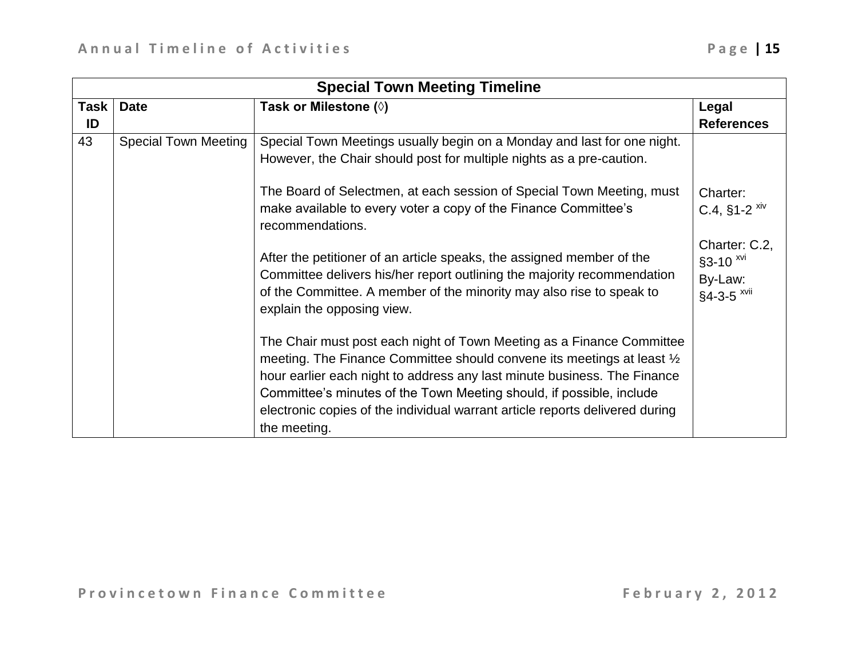| <b>Special Town Meeting Timeline</b> |                             |                                                                                                                                                                                                                                                                                                                                                                                                      |                                                                            |  |  |  |
|--------------------------------------|-----------------------------|------------------------------------------------------------------------------------------------------------------------------------------------------------------------------------------------------------------------------------------------------------------------------------------------------------------------------------------------------------------------------------------------------|----------------------------------------------------------------------------|--|--|--|
| <b>Task</b>                          | <b>Date</b>                 | Task or Milestone $(\Diamond)$                                                                                                                                                                                                                                                                                                                                                                       | Legal                                                                      |  |  |  |
| ID                                   |                             |                                                                                                                                                                                                                                                                                                                                                                                                      | <b>References</b>                                                          |  |  |  |
| 43                                   | <b>Special Town Meeting</b> | Special Town Meetings usually begin on a Monday and last for one night.<br>However, the Chair should post for multiple nights as a pre-caution.                                                                                                                                                                                                                                                      |                                                                            |  |  |  |
|                                      |                             | The Board of Selectmen, at each session of Special Town Meeting, must<br>make available to every voter a copy of the Finance Committee's<br>recommendations.                                                                                                                                                                                                                                         | Charter:<br>$C.4$ , §1-2 $xiv$                                             |  |  |  |
|                                      |                             | After the petitioner of an article speaks, the assigned member of the<br>Committee delivers his/her report outlining the majority recommendation<br>of the Committee. A member of the minority may also rise to speak to<br>explain the opposing view.                                                                                                                                               | Charter: C.2,<br>§3-10 <sup>xvi</sup><br>By-Law:<br>§4-3-5 <sup>xvii</sup> |  |  |  |
|                                      |                             | The Chair must post each night of Town Meeting as a Finance Committee<br>meeting. The Finance Committee should convene its meetings at least 1/2<br>hour earlier each night to address any last minute business. The Finance<br>Committee's minutes of the Town Meeting should, if possible, include<br>electronic copies of the individual warrant article reports delivered during<br>the meeting. |                                                                            |  |  |  |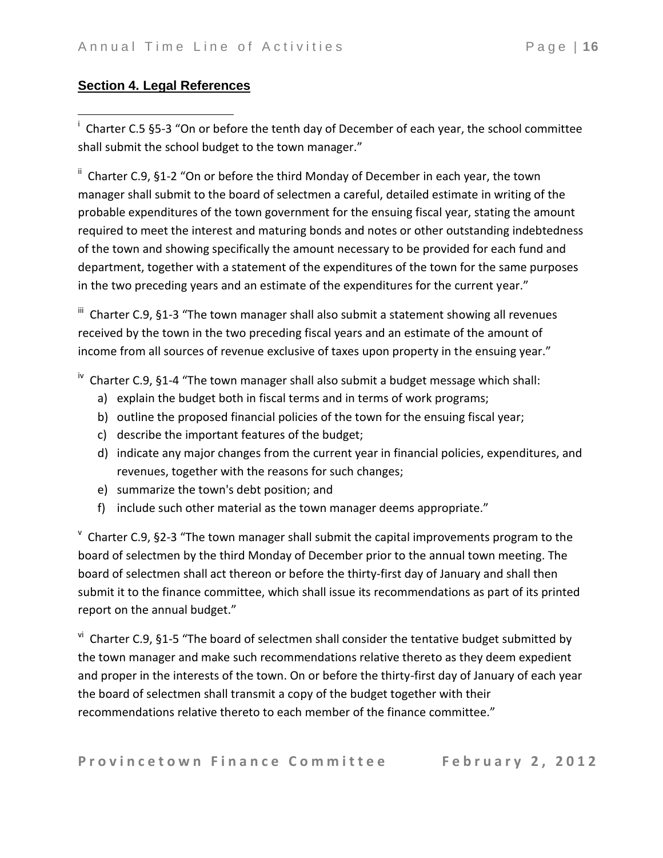## **Section 4. Legal References**

 $\overline{a}$ 

<sup>i</sup> Charter C.5 §5-3 "On or before the tenth day of December of each year, the school committee shall submit the school budget to the town manager."

<sup>ii</sup> Charter C.9, §1-2 "On or before the third Monday of December in each year, the town manager shall submit to the board of selectmen a careful, detailed estimate in writing of the probable expenditures of the town government for the ensuing fiscal year, stating the amount required to meet the interest and maturing bonds and notes or other outstanding indebtedness of the town and showing specifically the amount necessary to be provided for each fund and department, together with a statement of the expenditures of the town for the same purposes in the two preceding years and an estimate of the expenditures for the current year."

III Charter C.9, §1-3 "The town manager shall also submit a statement showing all revenues received by the town in the two preceding fiscal years and an estimate of the amount of income from all sources of revenue exclusive of taxes upon property in the ensuing year."

<sup>iv</sup> Charter C.9, §1-4 "The town manager shall also submit a budget message which shall:

- a) explain the budget both in fiscal terms and in terms of work programs;
- b) outline the proposed financial policies of the town for the ensuing fiscal year;
- c) describe the important features of the budget;
- d) indicate any major changes from the current year in financial policies, expenditures, and revenues, together with the reasons for such changes;
- e) summarize the town's debt position; and
- f) include such other material as the town manager deems appropriate."

 $\textdegree$  Charter C.9, §2-3 "The town manager shall submit the capital improvements program to the board of selectmen by the third Monday of December prior to the annual town meeting. The board of selectmen shall act thereon or before the thirty-first day of January and shall then submit it to the finance committee, which shall issue its recommendations as part of its printed report on the annual budget."

<sup>vi</sup> Charter C.9, §1-5 "The board of selectmen shall consider the tentative budget submitted by the town manager and make such recommendations relative thereto as they deem expedient and proper in the interests of the town. On or before the thirty-first day of January of each year the board of selectmen shall transmit a copy of the budget together with their recommendations relative thereto to each member of the finance committee."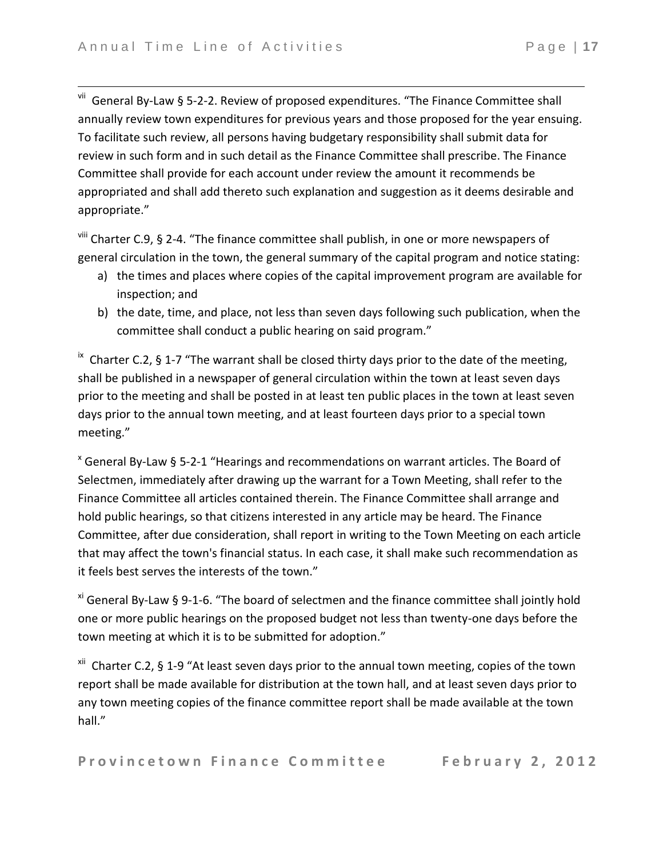$\overline{\phantom{a}}$ 

v<sup>ii</sup> General By-Law § 5-2-2. Review of proposed expenditures. "The Finance Committee shall annually review town expenditures for previous years and those proposed for the year ensuing. To facilitate such review, all persons having budgetary responsibility shall submit data for review in such form and in such detail as the Finance Committee shall prescribe. The Finance Committee shall provide for each account under review the amount it recommends be appropriated and shall add thereto such explanation and suggestion as it deems desirable and appropriate."

<sup>viii</sup> Charter C.9, § 2-4. "The finance committee shall publish, in one or more newspapers of general circulation in the town, the general summary of the capital program and notice stating:

- a) the times and places where copies of the capital improvement program are available for inspection; and
- b) the date, time, and place, not less than seven days following such publication, when the committee shall conduct a public hearing on said program."

 $\overline{a}$  Charter C.2, § 1-7 "The warrant shall be closed thirty days prior to the date of the meeting, shall be published in a newspaper of general circulation within the town at least seven days prior to the meeting and shall be posted in at least ten public places in the town at least seven days prior to the annual town meeting, and at least fourteen days prior to a special town meeting."

 $x$  General By-Law § 5-2-1 "Hearings and recommendations on warrant articles. The Board of Selectmen, immediately after drawing up the warrant for a Town Meeting, shall refer to the Finance Committee all articles contained therein. The Finance Committee shall arrange and hold public hearings, so that citizens interested in any article may be heard. The Finance Committee, after due consideration, shall report in writing to the Town Meeting on each article that may affect the town's financial status. In each case, it shall make such recommendation as it feels best serves the interests of the town."

 $x<sup>i</sup>$  General By-Law § 9-1-6. "The board of selectmen and the finance committee shall jointly hold one or more public hearings on the proposed budget not less than twenty-one days before the town meeting at which it is to be submitted for adoption."

<sup>xii</sup> Charter C.2, § 1-9 "At least seven days prior to the annual town meeting, copies of the town report shall be made available for distribution at the town hall, and at least seven days prior to any town meeting copies of the finance committee report shall be made available at the town hall."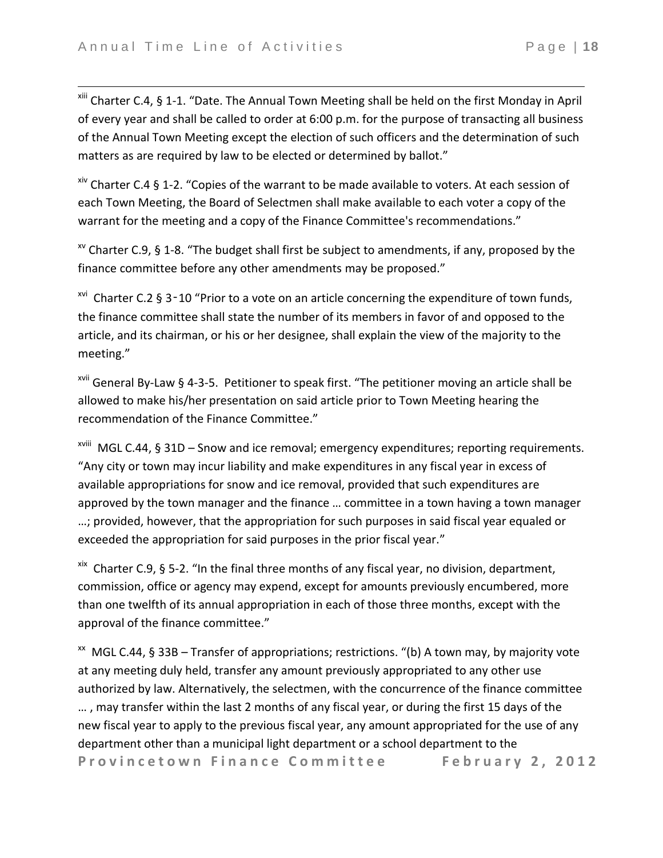$\overline{\phantom{a}}$ 

xiii Charter C.4, § 1-1. "Date. The Annual Town Meeting shall be held on the first Monday in April of every year and shall be called to order at 6:00 p.m. for the purpose of transacting all business of the Annual Town Meeting except the election of such officers and the determination of such matters as are required by law to be elected or determined by ballot."

 $x^{\text{inv}}$  Charter C.4 § 1-2. "Copies of the warrant to be made available to voters. At each session of each Town Meeting, the Board of Selectmen shall make available to each voter a copy of the warrant for the meeting and a copy of the Finance Committee's recommendations."

 $x<sup>v</sup>$  Charter C.9, § 1-8. "The budget shall first be subject to amendments, if any, proposed by the finance committee before any other amendments may be proposed."

<sup>xvi</sup> Charter C.2 § 3-10 "Prior to a vote on an article concerning the expenditure of town funds, the finance committee shall state the number of its members in favor of and opposed to the article, and its chairman, or his or her designee, shall explain the view of the majority to the meeting."

 $x$ <sup>vii</sup> General By-Law § 4-3-5. Petitioner to speak first. "The petitioner moving an article shall be allowed to make his/her presentation on said article prior to Town Meeting hearing the recommendation of the Finance Committee."

xviii MGL C.44, § 31D – Snow and ice removal; emergency expenditures; reporting requirements. "Any city or town may incur liability and make expenditures in any fiscal year in excess of available appropriations for snow and ice removal, provided that such expenditures are approved by the town manager and the finance … committee in a town having a town manager …; provided, however, that the appropriation for such purposes in said fiscal year equaled or exceeded the appropriation for said purposes in the prior fiscal year."

xix Charter C.9, § 5-2. "In the final three months of any fiscal year, no division, department, commission, office or agency may expend, except for amounts previously encumbered, more than one twelfth of its annual appropriation in each of those three months, except with the approval of the finance committee."

Provincetown Finance Committee February 2, 2012  $\frac{1}{x}$  MGL C.44, § 33B – Transfer of appropriations; restrictions. "(b) A town may, by majority vote at any meeting duly held, transfer any amount previously appropriated to any other use authorized by law. Alternatively, the selectmen, with the concurrence of the finance committee … , may transfer within the last 2 months of any fiscal year, or during the first 15 days of the new fiscal year to apply to the previous fiscal year, any amount appropriated for the use of any department other than a municipal light department or a school department to the